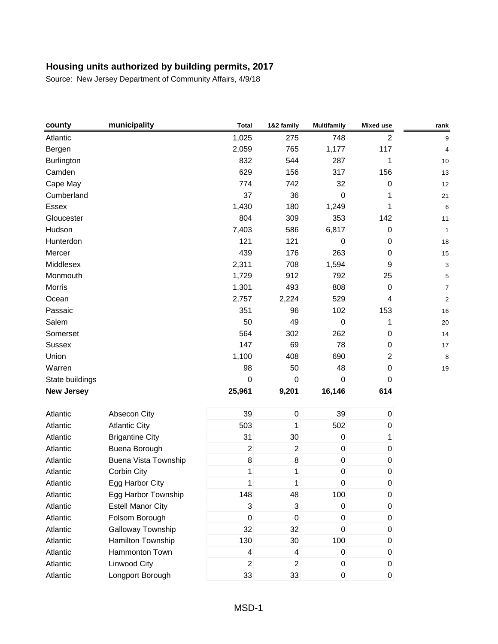| county            | municipality             | <b>Total</b>             | 1&2 family       | <b>Multifamily</b> | <b>Mixed use</b> | rank           |
|-------------------|--------------------------|--------------------------|------------------|--------------------|------------------|----------------|
| Atlantic          |                          | 1,025                    | 275              | 748                | 2                | 9              |
| Bergen            |                          | 2,059                    | 765              | 1,177              | 117              | 4              |
| Burlington        |                          | 832                      | 544              | 287                | 1                | 10             |
| Camden            |                          | 629                      | 156              | 317                | 156              | 13             |
| Cape May          |                          | 774                      | 742              | 32                 | $\pmb{0}$        | 12             |
| Cumberland        |                          | 37                       | 36               | $\boldsymbol{0}$   | 1                | 21             |
| Essex             |                          | 1,430                    | 180              | 1,249              | 1                | 6              |
| Gloucester        |                          | 804                      | 309              | 353                | 142              | 11             |
| Hudson            |                          | 7,403                    | 586              | 6,817              | $\mathbf 0$      | 1              |
| Hunterdon         |                          | 121                      | 121              | 0                  | $\pmb{0}$        | 18             |
| Mercer            |                          | 439                      | 176              | 263                | $\pmb{0}$        | 15             |
| Middlesex         |                          | 2,311                    | 708              | 1,594              | 9                | 3              |
| Monmouth          |                          | 1,729                    | 912              | 792                | 25               | 5              |
| Morris            |                          | 1,301                    | 493              | 808                | 0                | 7              |
| Ocean             |                          | 2,757                    | 2,224            | 529                | 4                | $\overline{a}$ |
| Passaic           |                          | 351                      | 96               | 102                | 153              | 16             |
| Salem             |                          | 50                       | 49               | $\boldsymbol{0}$   | 1                | 20             |
| Somerset          |                          | 564                      | 302              | 262                | 0                | 14             |
| Sussex            |                          | 147                      | 69               | 78                 | $\boldsymbol{0}$ | 17             |
| Union             |                          | 1,100                    | 408              | 690                | $\overline{c}$   | 8              |
| Warren            |                          | 98                       | 50               | 48                 | $\pmb{0}$        | 19             |
| State buildings   |                          | $\boldsymbol{0}$         | $\boldsymbol{0}$ | $\mathbf 0$        | 0                |                |
| <b>New Jersey</b> |                          | 25,961                   | 9,201            | 16,146             | 614              |                |
| Atlantic          | Absecon City             | 39                       | $\pmb{0}$        | 39                 | $\pmb{0}$        |                |
| Atlantic          | <b>Atlantic City</b>     | 503                      | 1                | 502                | 0                |                |
| Atlantic          | <b>Brigantine City</b>   | 31                       | 30               | $\pmb{0}$          | 1                |                |
| Atlantic          | Buena Borough            | $\overline{c}$           | $\overline{2}$   | $\pmb{0}$          | $\pmb{0}$        |                |
| Atlantic          | Buena Vista Township     | 8                        | $\,8\,$          | $\pmb{0}$          | 0                |                |
| Atlantic          | Corbin City              | 1                        | 1                | $\mathsf 0$        | $\pmb{0}$        |                |
| Atlantic          | Egg Harbor City          | 1                        | 1                | 0                  | 0                |                |
| Atlantic          | Egg Harbor Township      | 148                      | 48               | 100                | $\pmb{0}$        |                |
| Atlantic          | <b>Estell Manor City</b> | 3                        | $\mathsf 3$      | $\pmb{0}$          | $\pmb{0}$        |                |
| Atlantic          | Folsom Borough           | 0                        | $\boldsymbol{0}$ | 0                  | 0                |                |
| Atlantic          | Galloway Township        | 32                       | 32               | 0                  | $\pmb{0}$        |                |
| Atlantic          | Hamilton Township        | 130                      | 30               | 100                | $\pmb{0}$        |                |
| Atlantic          | Hammonton Town           | $\overline{\mathcal{L}}$ | 4                | $\pmb{0}$          | 0                |                |
| Atlantic          | Linwood City             | $\overline{2}$           | $\overline{2}$   | $\pmb{0}$          | $\pmb{0}$        |                |
| Atlantic          | Longport Borough         | 33                       | 33               | $\mathbf 0$        | $\pmb{0}$        |                |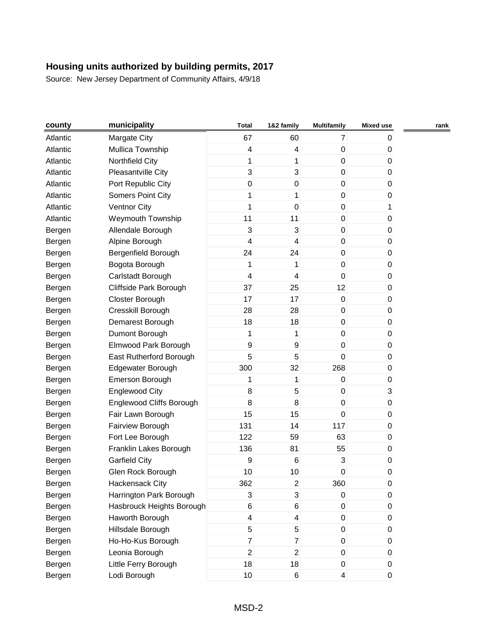| county   | municipality              | <b>Total</b>            | 1&2 family              | <b>Multifamily</b>      | <b>Mixed use</b> | rank |
|----------|---------------------------|-------------------------|-------------------------|-------------------------|------------------|------|
| Atlantic | Margate City              | 67                      | 60                      | $\overline{7}$          | 0                |      |
| Atlantic | Mullica Township          | 4                       | $\overline{\mathbf{4}}$ | 0                       | $\mathbf 0$      |      |
| Atlantic | Northfield City           | $\mathbf{1}$            | 1                       | $\pmb{0}$               | 0                |      |
| Atlantic | Pleasantville City        | 3                       | 3                       | 0                       | 0                |      |
| Atlantic | Port Republic City        | $\mathsf{O}\xspace$     | 0                       | 0                       | 0                |      |
| Atlantic | <b>Somers Point City</b>  | 1                       | 1                       | $\pmb{0}$               | 0                |      |
| Atlantic | <b>Ventnor City</b>       | 1                       | $\mathbf 0$             | 0                       | 1                |      |
| Atlantic | Weymouth Township         | 11                      | 11                      | 0                       | 0                |      |
| Bergen   | Allendale Borough         | 3                       | 3                       | $\boldsymbol{0}$        | 0                |      |
| Bergen   | Alpine Borough            | $\overline{\mathbf{4}}$ | 4                       | $\pmb{0}$               | 0                |      |
| Bergen   | Bergenfield Borough       | 24                      | 24                      | $\mathbf 0$             | $\pmb{0}$        |      |
| Bergen   | Bogota Borough            | 1                       | 1                       | 0                       | 0                |      |
| Bergen   | Carlstadt Borough         | $\overline{\mathbf{4}}$ | 4                       | 0                       | 0                |      |
| Bergen   | Cliffside Park Borough    | 37                      | 25                      | 12                      | 0                |      |
| Bergen   | Closter Borough           | 17                      | 17                      | 0                       | 0                |      |
| Bergen   | Cresskill Borough         | 28                      | 28                      | 0                       | $\mathbf 0$      |      |
| Bergen   | Demarest Borough          | 18                      | 18                      | $\pmb{0}$               | $\pmb{0}$        |      |
| Bergen   | Dumont Borough            | 1                       | 1                       | 0                       | 0                |      |
| Bergen   | Elmwood Park Borough      | 9                       | 9                       | 0                       | $\mathbf 0$      |      |
| Bergen   | East Rutherford Borough   | 5                       | 5                       | $\mathbf 0$             | 0                |      |
| Bergen   | Edgewater Borough         | 300                     | 32                      | 268                     | 0                |      |
| Bergen   | Emerson Borough           | 1                       | 1                       | 0                       | $\pmb{0}$        |      |
| Bergen   | <b>Englewood City</b>     | 8                       | 5                       | 0                       | $\sqrt{3}$       |      |
| Bergen   | Englewood Cliffs Borough  | 8                       | 8                       | 0                       | 0                |      |
| Bergen   | Fair Lawn Borough         | 15                      | 15                      | $\mathbf 0$             | $\pmb{0}$        |      |
| Bergen   | Fairview Borough          | 131                     | 14                      | 117                     | 0                |      |
| Bergen   | Fort Lee Borough          | 122                     | 59                      | 63                      | 0                |      |
| Bergen   | Franklin Lakes Borough    | 136                     | 81                      | 55                      | $\pmb{0}$        |      |
| Bergen   | <b>Garfield City</b>      | 9                       | 6                       | 3                       | 0                |      |
| Bergen   | Glen Rock Borough         | 10                      | 10                      | 0                       | $\pmb{0}$        |      |
| Bergen   | Hackensack City           | 362                     | $\overline{c}$          | 360                     | $\pmb{0}$        |      |
| Bergen   | Harrington Park Borough   | 3                       | $\sqrt{3}$              | 0                       | $\mathbf 0$      |      |
| Bergen   | Hasbrouck Heights Borough | 6                       | 6                       | 0                       | $\pmb{0}$        |      |
| Bergen   | Haworth Borough           | 4                       | 4                       | 0                       | 0                |      |
| Bergen   | Hillsdale Borough         | 5                       | 5                       | 0                       | 0                |      |
| Bergen   | Ho-Ho-Kus Borough         | $\overline{7}$          | $\overline{7}$          | 0                       | $\pmb{0}$        |      |
| Bergen   | Leonia Borough            | $\overline{a}$          | $\overline{c}$          | 0                       | $\mathbf 0$      |      |
| Bergen   | Little Ferry Borough      | 18                      | 18                      | 0                       | $\mathbf 0$      |      |
| Bergen   | Lodi Borough              | 10                      | $\,6$                   | $\overline{\mathbf{r}}$ | $\overline{0}$   |      |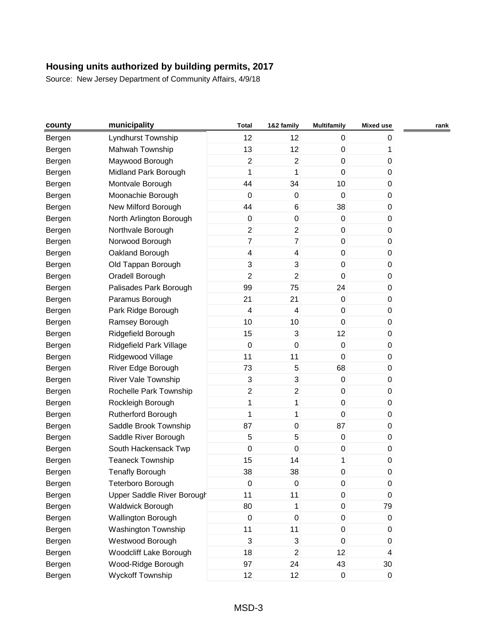| county | municipality               | <b>Total</b>   | 1&2 family              | <b>Multifamily</b> | <b>Mixed use</b> | rank |
|--------|----------------------------|----------------|-------------------------|--------------------|------------------|------|
| Bergen | Lyndhurst Township         | 12             | 12                      | 0                  | 0                |      |
| Bergen | Mahwah Township            | 13             | 12                      | 0                  | 1                |      |
| Bergen | Maywood Borough            | $\overline{c}$ | $\overline{c}$          | $\pmb{0}$          | 0                |      |
| Bergen | Midland Park Borough       | 1              | 1                       | $\pmb{0}$          | 0                |      |
| Bergen | Montvale Borough           | 44             | 34                      | 10                 | 0                |      |
| Bergen | Moonachie Borough          | $\pmb{0}$      | $\boldsymbol{0}$        | $\pmb{0}$          | 0                |      |
| Bergen | New Milford Borough        | 44             | 6                       | 38                 | 0                |      |
| Bergen | North Arlington Borough    | $\pmb{0}$      | $\pmb{0}$               | 0                  | 0                |      |
| Bergen | Northvale Borough          | $\overline{c}$ | $\overline{c}$          | $\pmb{0}$          | 0                |      |
| Bergen | Norwood Borough            | $\overline{7}$ | $\overline{7}$          | 0                  | 0                |      |
| Bergen | Oakland Borough            | 4              | 4                       | 0                  | 0                |      |
| Bergen | Old Tappan Borough         | 3              | 3                       | 0                  | 0                |      |
| Bergen | Oradell Borough            | 2              | $\overline{2}$          | 0                  | 0                |      |
| Bergen | Palisades Park Borough     | 99             | 75                      | 24                 | 0                |      |
| Bergen | Paramus Borough            | 21             | 21                      | 0                  | 0                |      |
| Bergen | Park Ridge Borough         | $\overline{4}$ | 4                       | 0                  | 0                |      |
| Bergen | Ramsey Borough             | 10             | 10                      | $\mathsf 0$        | 0                |      |
| Bergen | Ridgefield Borough         | 15             | 3                       | 12                 | 0                |      |
| Bergen | Ridgefield Park Village    | $\pmb{0}$      | $\boldsymbol{0}$        | 0                  | 0                |      |
| Bergen | Ridgewood Village          | 11             | 11                      | $\pmb{0}$          | 0                |      |
| Bergen | River Edge Borough         | 73             | 5                       | 68                 | 0                |      |
| Bergen | <b>River Vale Township</b> | 3              | 3                       | 0                  | 0                |      |
| Bergen | Rochelle Park Township     | $\overline{c}$ | $\overline{c}$          | 0                  | 0                |      |
| Bergen | Rockleigh Borough          | $\mathbf{1}$   | 1                       | 0                  | 0                |      |
| Bergen | Rutherford Borough         | 1              | 1                       | $\mathbf 0$        | 0                |      |
| Bergen | Saddle Brook Township      | 87             | $\pmb{0}$               | 87                 | 0                |      |
| Bergen | Saddle River Borough       | 5              | 5                       | 0                  | 0                |      |
| Bergen | South Hackensack Twp       | $\mathsf 0$    | $\mathbf 0$             | 0                  | 0                |      |
| Bergen | <b>Teaneck Township</b>    | 15             | 14                      | 1                  | 0                |      |
| Bergen | <b>Tenafly Borough</b>     | 38             | 38                      | 0                  | 0                |      |
| Bergen | Teterboro Borough          | $\pmb{0}$      | $\pmb{0}$               | 0                  | 0                |      |
| Bergen | Upper Saddle River Borough | 11             | 11                      | 0                  | 0                |      |
| Bergen | <b>Waldwick Borough</b>    | 80             | 1                       | 0                  | 79               |      |
| Bergen | Wallington Borough         | $\pmb{0}$      | $\pmb{0}$               | $\boldsymbol{0}$   | 0                |      |
| Bergen | Washington Township        | 11             | 11                      | 0                  | 0                |      |
| Bergen | Westwood Borough           | 3              | 3                       | 0                  | 0                |      |
| Bergen | Woodcliff Lake Borough     | 18             | $\overline{\mathbf{c}}$ | 12                 | 4                |      |
| Bergen | Wood-Ridge Borough         | 97             | 24                      | 43                 | 30               |      |
| Bergen | <b>Wyckoff Township</b>    | 12             | 12                      | $\pmb{0}$          | $\pmb{0}$        |      |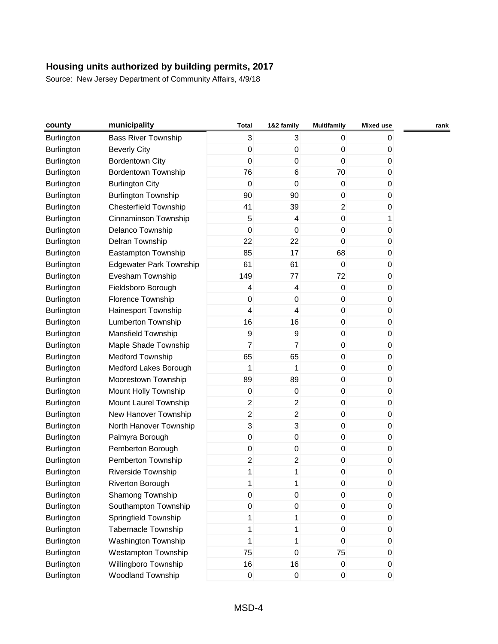| county            | municipality                   | Total               | 1&2 family              | <b>Multifamily</b> | <b>Mixed use</b> | rank |
|-------------------|--------------------------------|---------------------|-------------------------|--------------------|------------------|------|
| <b>Burlington</b> | <b>Bass River Township</b>     | 3                   | 3                       | 0                  | 0                |      |
| Burlington        | <b>Beverly City</b>            | 0                   | $\pmb{0}$               | $\pmb{0}$          | 0                |      |
| Burlington        | <b>Bordentown City</b>         | $\pmb{0}$           | $\boldsymbol{0}$        | 0                  | 0                |      |
| Burlington        | Bordentown Township            | 76                  | 6                       | 70                 | 0                |      |
| Burlington        | <b>Burlington City</b>         | $\pmb{0}$           | $\boldsymbol{0}$        | $\pmb{0}$          | 0                |      |
| Burlington        | <b>Burlington Township</b>     | 90                  | 90                      | 0                  | 0                |      |
| Burlington        | <b>Chesterfield Township</b>   | 41                  | 39                      | $\overline{2}$     | 0                |      |
| Burlington        | Cinnaminson Township           | 5                   | $\overline{\mathbf{4}}$ | $\mathbf 0$        | 1                |      |
| Burlington        | Delanco Township               | 0                   | $\boldsymbol{0}$        | 0                  | 0                |      |
| Burlington        | Delran Township                | 22                  | 22                      | 0                  | 0                |      |
| Burlington        | Eastampton Township            | 85                  | 17                      | 68                 | 0                |      |
| Burlington        | <b>Edgewater Park Township</b> | 61                  | 61                      | 0                  | 0                |      |
| Burlington        | Evesham Township               | 149                 | 77                      | 72                 | 0                |      |
| Burlington        | Fieldsboro Borough             | 4                   | $\overline{\mathbf{4}}$ | $\pmb{0}$          | 0                |      |
| Burlington        | Florence Township              | 0                   | $\boldsymbol{0}$        | $\pmb{0}$          | 0                |      |
| Burlington        | Hainesport Township            | 4                   | 4                       | $\pmb{0}$          | $\boldsymbol{0}$ |      |
| Burlington        | <b>Lumberton Township</b>      | 16                  | 16                      | 0                  | 0                |      |
| Burlington        | Mansfield Township             | $\boldsymbol{9}$    | 9                       | $\pmb{0}$          | 0                |      |
| <b>Burlington</b> | Maple Shade Township           | $\overline{7}$      | $\overline{7}$          | 0                  | $\mathbf 0$      |      |
| Burlington        | <b>Medford Township</b>        | 65                  | 65                      | 0                  | 0                |      |
| Burlington        | Medford Lakes Borough          | 1                   | 1                       | $\pmb{0}$          | 0                |      |
| Burlington        | Moorestown Township            | 89                  | 89                      | $\mathsf 0$        | 0                |      |
| Burlington        | Mount Holly Township           | 0                   | $\boldsymbol{0}$        | $\pmb{0}$          | 0                |      |
| Burlington        | Mount Laurel Township          | $\overline{c}$      | $\sqrt{2}$              | $\pmb{0}$          | 0                |      |
| Burlington        | New Hanover Township           | $\overline{2}$      | $\overline{2}$          | $\pmb{0}$          | 0                |      |
| Burlington        | North Hanover Township         | 3                   | 3                       | 0                  | 0                |      |
| Burlington        | Palmyra Borough                | $\pmb{0}$           | $\boldsymbol{0}$        | $\pmb{0}$          | 0                |      |
| Burlington        | Pemberton Borough              | $\mathsf{O}\xspace$ | $\boldsymbol{0}$        | 0                  | 0                |      |
| <b>Burlington</b> | Pemberton Township             | $\overline{c}$      | $\sqrt{2}$              | $\pmb{0}$          | 0                |      |
| Burlington        | Riverside Township             | 1                   | 1                       | 0                  | 0                |      |
| Burlington        | Riverton Borough               | 1                   | 1                       | 0                  | 0                |      |
| Burlington        | Shamong Township               | $\mathsf{O}\xspace$ | $\boldsymbol{0}$        | $\pmb{0}$          | 0                |      |
| <b>Burlington</b> | Southampton Township           | $\mathsf{O}\xspace$ | $\pmb{0}$               | $\pmb{0}$          | $\pmb{0}$        |      |
| Burlington        | Springfield Township           | 1                   | 1                       | $\pmb{0}$          | 0                |      |
| Burlington        | Tabernacle Township            | 1                   | 1                       | $\pmb{0}$          | 0                |      |
| <b>Burlington</b> | Washington Township            | $\mathbf{1}$        | 1                       | $\mathsf 0$        | $\pmb{0}$        |      |
| Burlington        | Westampton Township            | 75                  | $\boldsymbol{0}$        | 75                 | 0                |      |
| Burlington        | Willingboro Township           | 16                  | 16                      | $\pmb{0}$          | 0                |      |
| Burlington        | Woodland Township              | $\pmb{0}$           | $\pmb{0}$               | $\pmb{0}$          | $\pmb{0}$        |      |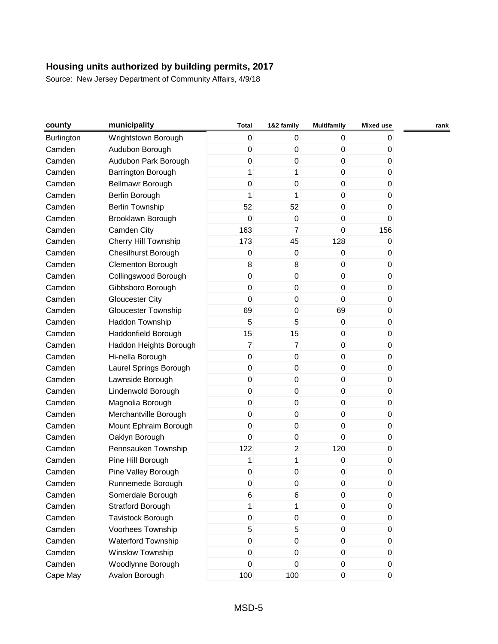| county            | municipality               | <b>Total</b>     | 1&2 family       | <b>Multifamily</b> | <b>Mixed use</b> | rank |
|-------------------|----------------------------|------------------|------------------|--------------------|------------------|------|
| <b>Burlington</b> | Wrightstown Borough        | 0                | 0                | 0                  | 0                |      |
| Camden            | Audubon Borough            | 0                | $\boldsymbol{0}$ | 0                  | 0                |      |
| Camden            | Audubon Park Borough       | $\mathsf 0$      | $\boldsymbol{0}$ | $\mathbf 0$        | 0                |      |
| Camden            | Barrington Borough         | 1                | 1                | 0                  | 0                |      |
| Camden            | Bellmawr Borough           | 0                | $\boldsymbol{0}$ | 0                  | 0                |      |
| Camden            | Berlin Borough             | 1                | 1                | $\mathbf 0$        | 0                |      |
| Camden            | <b>Berlin Township</b>     | 52               | 52               | 0                  | 0                |      |
| Camden            | Brooklawn Borough          | $\mathsf 0$      | $\pmb{0}$        | 0                  | 0                |      |
| Camden            | Camden City                | 163              | $\overline{7}$   | $\mathbf 0$        | 156              |      |
| Camden            | Cherry Hill Township       | 173              | 45               | 128                | 0                |      |
| Camden            | Chesilhurst Borough        | 0                | $\boldsymbol{0}$ | $\mathbf 0$        | 0                |      |
| Camden            | Clementon Borough          | 8                | 8                | 0                  | 0                |      |
| Camden            | Collingswood Borough       | $\mathsf 0$      | $\boldsymbol{0}$ | 0                  | 0                |      |
| Camden            | Gibbsboro Borough          | $\mathsf 0$      | $\mathbf 0$      | $\mathbf 0$        | 0                |      |
| Camden            | <b>Gloucester City</b>     | 0                | $\boldsymbol{0}$ | 0                  | 0                |      |
| Camden            | <b>Gloucester Township</b> | 69               | 0                | 69                 | 0                |      |
| Camden            | Haddon Township            | 5                | 5                | $\pmb{0}$          | 0                |      |
| Camden            | Haddonfield Borough        | 15               | 15               | 0                  | 0                |      |
| Camden            | Haddon Heights Borough     | $\overline{7}$   | $\overline{7}$   | 0                  | 0                |      |
| Camden            | Hi-nella Borough           | $\mathsf 0$      | $\pmb{0}$        | $\mathbf 0$        | 0                |      |
| Camden            | Laurel Springs Borough     | $\mathsf 0$      | $\boldsymbol{0}$ | 0                  | 0                |      |
| Camden            | Lawnside Borough           | 0                | $\boldsymbol{0}$ | 0                  | 0                |      |
| Camden            | Lindenwold Borough         | 0                | 0                | 0                  | 0                |      |
| Camden            | Magnolia Borough           | $\mathsf 0$      | $\pmb{0}$        | 0                  | 0                |      |
| Camden            | Merchantville Borough      | $\mathsf 0$      | $\mathbf 0$      | $\mathbf 0$        | 0                |      |
| Camden            | Mount Ephraim Borough      | 0                | $\pmb{0}$        | 0                  | 0                |      |
| Camden            | Oaklyn Borough             | $\mathbf 0$      | $\pmb{0}$        | 0                  | 0                |      |
| Camden            | Pennsauken Township        | 122              | $\boldsymbol{2}$ | 120                | 0                |      |
| Camden            | Pine Hill Borough          | 1                | 1                | 0                  | 0                |      |
| Camden            | Pine Valley Borough        | 0                | $\boldsymbol{0}$ | 0                  | 0                |      |
| Camden            | Runnemede Borough          | $\pmb{0}$        | 0                | 0                  | 0                |      |
| Camden            | Somerdale Borough          | 6                | 6                | 0                  | 0                |      |
| Camden            | <b>Stratford Borough</b>   | $\mathbf{1}$     | 1                | 0                  | 0                |      |
| Camden            | Tavistock Borough          | $\boldsymbol{0}$ | $\pmb{0}$        | 0                  | 0                |      |
| Camden            | Voorhees Township          | 5                | 5                | 0                  | 0                |      |
| Camden            | Waterford Township         | $\mathsf 0$      | $\boldsymbol{0}$ | 0                  | 0                |      |
| Camden            | Winslow Township           | 0                | 0                | 0                  | 0                |      |
| Camden            | Woodlynne Borough          | 0                | $\pmb{0}$        | $\overline{0}$     | 0                |      |
| Cape May          | Avalon Borough             | 100              | 100              | $\boldsymbol{0}$   | $\boldsymbol{0}$ |      |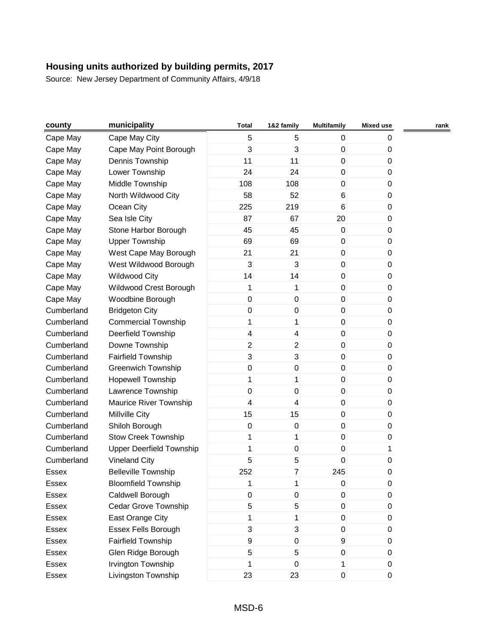| county     | municipality                    | <b>Total</b>            | 1&2 family     | <b>Multifamily</b>  | <b>Mixed use</b> | rank |
|------------|---------------------------------|-------------------------|----------------|---------------------|------------------|------|
| Cape May   | Cape May City                   | 5                       | 5              | $\mathbf{0}$        | 0                |      |
| Cape May   | Cape May Point Borough          | 3                       | 3              | 0                   | 0                |      |
| Cape May   | Dennis Township                 | 11                      | 11             | $\mathbf 0$         | $\pmb{0}$        |      |
| Cape May   | Lower Township                  | 24                      | 24             | 0                   | 0                |      |
| Cape May   | Middle Township                 | 108                     | 108            | 0                   | 0                |      |
| Cape May   | North Wildwood City             | 58                      | 52             | 6                   | 0                |      |
| Cape May   | Ocean City                      | 225                     | 219            | 6                   | 0                |      |
| Cape May   | Sea Isle City                   | 87                      | 67             | 20                  | 0                |      |
| Cape May   | Stone Harbor Borough            | 45                      | 45             | 0                   | 0                |      |
| Cape May   | <b>Upper Township</b>           | 69                      | 69             | 0                   | 0                |      |
| Cape May   | West Cape May Borough           | 21                      | 21             | $\pmb{0}$           | 0                |      |
| Cape May   | West Wildwood Borough           | 3                       | 3              | 0                   | 0                |      |
| Cape May   | <b>Wildwood City</b>            | 14                      | 14             | 0                   | 0                |      |
| Cape May   | Wildwood Crest Borough          | 1                       | 1              | $\pmb{0}$           | 0                |      |
| Cape May   | Woodbine Borough                | 0                       | $\mathbf 0$    | 0                   | 0                |      |
| Cumberland | <b>Bridgeton City</b>           | 0                       | 0              | 0                   | 0                |      |
| Cumberland | <b>Commercial Township</b>      | 1                       | 1              | $\pmb{0}$           | 0                |      |
| Cumberland | Deerfield Township              | $\overline{\mathbf{4}}$ | 4              | 0                   | 0                |      |
| Cumberland | Downe Township                  | $\overline{2}$          | $\overline{2}$ | 0                   | 0                |      |
| Cumberland | <b>Fairfield Township</b>       | 3                       | 3              | 0                   | 0                |      |
| Cumberland | <b>Greenwich Township</b>       | $\mathsf 0$             | $\mathbf 0$    | 0                   | 0                |      |
| Cumberland | <b>Hopewell Township</b>        | 1                       | 1              | $\mathbf 0$         | 0                |      |
| Cumberland | Lawrence Township               | 0                       | 0              | 0                   | 0                |      |
| Cumberland | Maurice River Township          | 4                       | 4              | 0                   | 0                |      |
| Cumberland | Millville City                  | 15                      | 15             | $\mathbf 0$         | 0                |      |
| Cumberland | Shiloh Borough                  | $\boldsymbol{0}$        | 0              | 0                   | 0                |      |
| Cumberland | <b>Stow Creek Township</b>      | 1                       | 1              | 0                   | 0                |      |
| Cumberland | <b>Upper Deerfield Township</b> | 1                       | $\mathbf 0$    | $\pmb{0}$           | 1                |      |
| Cumberland | <b>Vineland City</b>            | 5                       | 5              | 0                   | 0                |      |
| Essex      | <b>Belleville Township</b>      | 252                     | $\overline{7}$ | 245                 | 0                |      |
| Essex      | <b>Bloomfield Township</b>      | 1                       | 1              | $\mathsf{O}\xspace$ | $\pmb{0}$        |      |
| Essex      | Caldwell Borough                | 0                       | 0              | 0                   | 0                |      |
| Essex      | Cedar Grove Township            | 5                       | 5              | $\mathbf 0$         | $\pmb{0}$        |      |
| Essex      | East Orange City                | 1                       | 1              | 0                   | 0                |      |
| Essex      | Essex Fells Borough             | 3                       | 3              | 0                   | 0                |      |
| Essex      | Fairfield Township              | 9                       | $\mathbf 0$    | 9                   | 0                |      |
| Essex      | Glen Ridge Borough              | 5                       | 5              | 0                   | 0                |      |
| Essex      | Irvington Township              | 1                       | $\mathbf 0$    | 1                   | 0                |      |
| Essex      | Livingston Township             | 23                      | 23             | $\mathsf{O}\xspace$ | $\pmb{0}$        |      |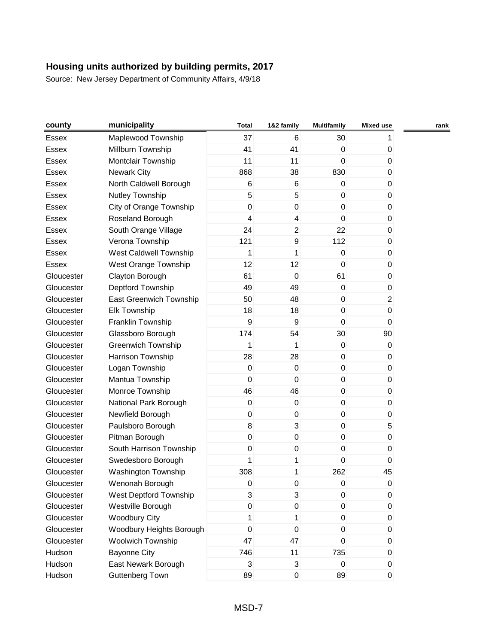| county     | municipality              | <b>Total</b> | 1&2 family       | <b>Multifamily</b> | <b>Mixed use</b> | rank |
|------------|---------------------------|--------------|------------------|--------------------|------------------|------|
| Essex      | Maplewood Township        | 37           | 6                | 30                 | 1                |      |
| Essex      | Millburn Township         | 41           | 41               | $\pmb{0}$          | 0                |      |
| Essex      | Montclair Township        | 11           | 11               | $\mathbf 0$        | 0                |      |
| Essex      | <b>Newark City</b>        | 868          | 38               | 830                | 0                |      |
| Essex      | North Caldwell Borough    | 6            | 6                | $\pmb{0}$          | 0                |      |
| Essex      | Nutley Township           | 5            | 5                | $\mathsf 0$        | 0                |      |
| Essex      | City of Orange Township   | $\mathsf 0$  | $\mathbf 0$      | $\pmb{0}$          | 0                |      |
| Essex      | Roseland Borough          | 4            | 4                | $\mathbf 0$        | $\boldsymbol{0}$ |      |
| Essex      | South Orange Village      | 24           | $\overline{c}$   | 22                 | 0                |      |
| Essex      | Verona Township           | 121          | 9                | 112                | 0                |      |
| Essex      | West Caldwell Township    | 1            | 1                | $\mathsf 0$        | 0                |      |
| Essex      | West Orange Township      | 12           | 12               | 0                  | 0                |      |
| Gloucester | Clayton Borough           | 61           | $\mathbf 0$      | 61                 | 0                |      |
| Gloucester | Deptford Township         | 49           | 49               | $\pmb{0}$          | 0                |      |
| Gloucester | East Greenwich Township   | 50           | 48               | 0                  | $\overline{c}$   |      |
| Gloucester | <b>Elk Township</b>       | 18           | 18               | $\pmb{0}$          | $\pmb{0}$        |      |
| Gloucester | Franklin Township         | 9            | 9                | $\mathsf 0$        | $\mathbf 0$      |      |
| Gloucester | Glassboro Borough         | 174          | 54               | 30                 | 90               |      |
| Gloucester | <b>Greenwich Township</b> | 1            | 1                | $\pmb{0}$          | $\mathbf 0$      |      |
| Gloucester | Harrison Township         | 28           | 28               | $\mathsf 0$        | 0                |      |
| Gloucester | Logan Township            | $\pmb{0}$    | $\mathbf 0$      | 0                  | 0                |      |
| Gloucester | Mantua Township           | $\mathbf 0$  | 0                | $\mathbf 0$        | $\boldsymbol{0}$ |      |
| Gloucester | Monroe Township           | 46           | 46               | $\pmb{0}$          | 0                |      |
| Gloucester | National Park Borough     | $\pmb{0}$    | $\mathbf 0$      | 0                  | 0                |      |
| Gloucester | Newfield Borough          | $\mathsf 0$  | $\boldsymbol{0}$ | $\mathbf 0$        | 0                |      |
| Gloucester | Paulsboro Borough         | 8            | 3                | 0                  | 5                |      |
| Gloucester | Pitman Borough            | $\mathsf 0$  | 0                | 0                  | 0                |      |
| Gloucester | South Harrison Township   | $\pmb{0}$    | $\mathbf 0$      | $\mathsf 0$        | 0                |      |
| Gloucester | Swedesboro Borough        | 1            | 1                | 0                  | 0                |      |
| Gloucester | Washington Township       | 308          | 1                | 262                | 45               |      |
| Gloucester | Wenonah Borough           | $\pmb{0}$    | $\pmb{0}$        | $\pmb{0}$          | 0                |      |
| Gloucester | West Deptford Township    | 3            | 3                | $\pmb{0}$          | 0                |      |
| Gloucester | Westville Borough         | $\mathsf 0$  | $\mathbf 0$      | $\mathbf 0$        | $\pmb{0}$        |      |
| Gloucester | <b>Woodbury City</b>      | 1            | 1                | 0                  | 0                |      |
| Gloucester | Woodbury Heights Borough  | 0            | 0                | 0                  | 0                |      |
| Gloucester | <b>Woolwich Township</b>  | 47           | 47               | $\mathbf 0$        | 0                |      |
| Hudson     | <b>Bayonne City</b>       | 746          | 11               | 735                | 0                |      |
| Hudson     | East Newark Borough       | 3            | 3                | $\pmb{0}$          | $\mathbf 0$      |      |
| Hudson     | <b>Guttenberg Town</b>    | 89           | $\mathbf 0$      | 89                 | $\pmb{0}$        |      |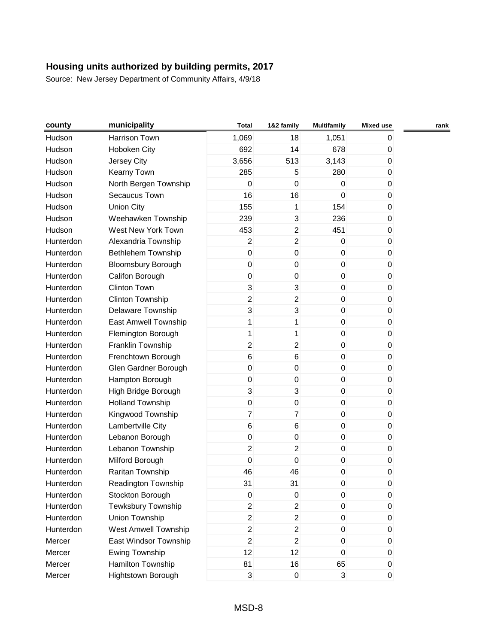| county    | municipality              | <b>Total</b>        | 1&2 family                | <b>Multifamily</b> | <b>Mixed use</b> | rank |
|-----------|---------------------------|---------------------|---------------------------|--------------------|------------------|------|
| Hudson    | Harrison Town             | 1,069               | 18                        | 1,051              | 0                |      |
| Hudson    | Hoboken City              | 692                 | 14                        | 678                | 0                |      |
| Hudson    | <b>Jersey City</b>        | 3,656               | 513                       | 3,143              | 0                |      |
| Hudson    | Kearny Town               | 285                 | 5                         | 280                | 0                |      |
| Hudson    | North Bergen Township     | $\mathbf 0$         | $\mathbf 0$               | 0                  | 0                |      |
| Hudson    | Secaucus Town             | 16                  | 16                        | $\mathbf 0$        | 0                |      |
| Hudson    | <b>Union City</b>         | 155                 | 1                         | 154                | 0                |      |
| Hudson    | Weehawken Township        | 239                 | $\ensuremath{\mathsf{3}}$ | 236                | 0                |      |
| Hudson    | West New York Town        | 453                 | $\overline{2}$            | 451                | 0                |      |
| Hunterdon | Alexandria Township       | $\overline{2}$      | $\boldsymbol{2}$          | $\pmb{0}$          | 0                |      |
| Hunterdon | Bethlehem Township        | $\mathsf{O}\xspace$ | $\pmb{0}$                 | 0                  | 0                |      |
| Hunterdon | <b>Bloomsbury Borough</b> | $\pmb{0}$           | $\pmb{0}$                 | $\boldsymbol{0}$   | 0                |      |
| Hunterdon | Califon Borough           | $\pmb{0}$           | $\pmb{0}$                 | 0                  | 0                |      |
| Hunterdon | <b>Clinton Town</b>       | 3                   | $\mathbf{3}$              | $\pmb{0}$          | 0                |      |
| Hunterdon | <b>Clinton Township</b>   | $\overline{2}$      | $\overline{2}$            | $\mathbf 0$        | 0                |      |
| Hunterdon | Delaware Township         | 3                   | $\mathbf{3}$              | $\mathbf 0$        | 0                |      |
| Hunterdon | East Amwell Township      | 1                   | 1                         | $\pmb{0}$          | 0                |      |
| Hunterdon | Flemington Borough        | 1                   | 1                         | 0                  | 0                |      |
| Hunterdon | Franklin Township         | $\overline{2}$      | $\boldsymbol{2}$          | $\mathbf 0$        | 0                |      |
| Hunterdon | Frenchtown Borough        | 6                   | 6                         | $\mathbf 0$        | 0                |      |
| Hunterdon | Glen Gardner Borough      | $\pmb{0}$           | $\pmb{0}$                 | 0                  | 0                |      |
| Hunterdon | Hampton Borough           | $\mathsf{O}\xspace$ | $\pmb{0}$                 | $\mathbf 0$        | 0                |      |
| Hunterdon | High Bridge Borough       | 3                   | $\mathbf{3}$              | $\boldsymbol{0}$   | 0                |      |
| Hunterdon | <b>Holland Township</b>   | $\pmb{0}$           | $\pmb{0}$                 | 0                  | 0                |      |
| Hunterdon | Kingwood Township         | $\overline{7}$      | $\overline{7}$            | $\pmb{0}$          | 0                |      |
| Hunterdon | Lambertville City         | 6                   | 6                         | $\mathbf 0$        | 0                |      |
| Hunterdon | Lebanon Borough           | $\pmb{0}$           | $\pmb{0}$                 | $\mathbf 0$        | 0                |      |
| Hunterdon | Lebanon Township          | $\overline{c}$      | $\boldsymbol{2}$          | $\pmb{0}$          | 0                |      |
| Hunterdon | Milford Borough           | $\mathbf 0$         | $\pmb{0}$                 | $\boldsymbol{0}$   | 0                |      |
| Hunterdon | Raritan Township          | 46                  | 46                        | 0                  | 0                |      |
| Hunterdon | Readington Township       | 31                  | 31                        | O                  | U                |      |
| Hunterdon | Stockton Borough          | $\pmb{0}$           | $\pmb{0}$                 | $\pmb{0}$          | 0                |      |
| Hunterdon | Tewksbury Township        | $\overline{2}$      | $\overline{2}$            | $\pmb{0}$          | 0                |      |
| Hunterdon | Union Township            | $\overline{2}$      | $\overline{2}$            | 0                  | 0                |      |
| Hunterdon | West Amwell Township      | $\overline{a}$      | $\overline{2}$            | $\mathbf 0$        | 0                |      |
| Mercer    | East Windsor Township     | $\overline{2}$      | $\overline{2}$            | $\pmb{0}$          | 0                |      |
| Mercer    | <b>Ewing Township</b>     | 12                  | 12                        | $\pmb{0}$          | $\mathbf{0}$     |      |
| Mercer    | Hamilton Township         | 81                  | 16                        | 65                 | 0                |      |
| Mercer    | Hightstown Borough        | 3                   | $\mathbf 0$               | 3                  | 0                |      |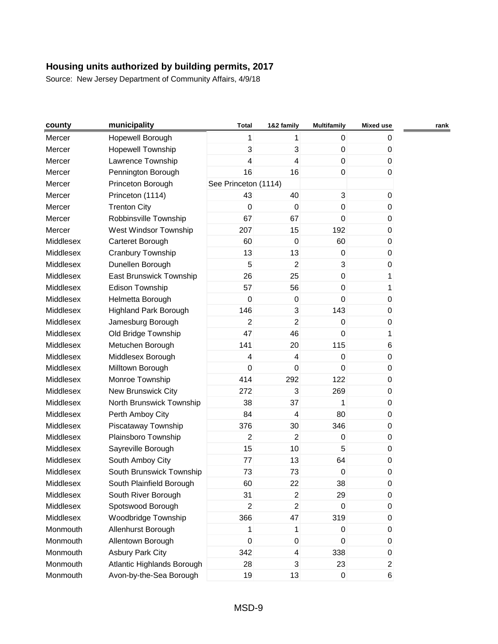| county    | municipality                 | Total                | 1&2 family       | <b>Multifamily</b> | <b>Mixed use</b> | rank |
|-----------|------------------------------|----------------------|------------------|--------------------|------------------|------|
| Mercer    | Hopewell Borough             | 1                    | 1                | $\mathbf 0$        | 0                |      |
| Mercer    | <b>Hopewell Township</b>     | 3                    | 3                | $\pmb{0}$          | 0                |      |
| Mercer    | Lawrence Township            | 4                    | 4                | $\mathbf 0$        | $\mathbf 0$      |      |
| Mercer    | Pennington Borough           | 16                   | 16               | $\mathbf 0$        | $\overline{0}$   |      |
| Mercer    | Princeton Borough            | See Princeton (1114) |                  |                    |                  |      |
| Mercer    | Princeton (1114)             | 43                   | 40               | $\mathbf{3}$       | 0                |      |
| Mercer    | <b>Trenton City</b>          | $\mathbf 0$          | 0                | $\mathbf 0$        | $\mathbf{0}$     |      |
| Mercer    | Robbinsville Township        | 67                   | 67               | $\mathbf 0$        | $\pmb{0}$        |      |
| Mercer    | West Windsor Township        | 207                  | 15               | 192                | $\pmb{0}$        |      |
| Middlesex | Carteret Borough             | 60                   | $\mathbf 0$      | 60                 | $\mathbf{0}$     |      |
| Middlesex | Cranbury Township            | 13                   | 13               | $\mathbf 0$        | $\pmb{0}$        |      |
| Middlesex | Dunellen Borough             | 5                    | $\overline{2}$   | $\mathbf{3}$       | $\pmb{0}$        |      |
| Middlesex | East Brunswick Township      | 26                   | 25               | $\pmb{0}$          | 1                |      |
| Middlesex | <b>Edison Township</b>       | 57                   | 56               | $\mathbf 0$        | 1                |      |
| Middlesex | Helmetta Borough             | $\mathbf 0$          | 0                | $\mathbf 0$        | 0                |      |
| Middlesex | <b>Highland Park Borough</b> | 146                  | $\overline{3}$   | 143                | 0                |      |
| Middlesex | Jamesburg Borough            | 2                    | $\overline{2}$   | $\mathbf 0$        | $\pmb{0}$        |      |
| Middlesex | Old Bridge Township          | 47                   | 46               | $\mathbf 0$        | 1                |      |
| Middlesex | Metuchen Borough             | 141                  | 20               | 115                | 6                |      |
| Middlesex | Middlesex Borough            | 4                    | 4                | $\mathbf 0$        | $\pmb{0}$        |      |
| Middlesex | Milltown Borough             | $\mathbf 0$          | $\mathbf 0$      | $\mathbf 0$        | $\mathbf{0}$     |      |
| Middlesex | Monroe Township              | 414                  | 292              | 122                | $\pmb{0}$        |      |
| Middlesex | New Brunswick City           | 272                  | 3                | 269                | $\pmb{0}$        |      |
| Middlesex | North Brunswick Township     | 38                   | 37               | 1                  | 0                |      |
| Middlesex | Perth Amboy City             | 84                   | $\overline{4}$   | 80                 | $\mathbf 0$      |      |
| Middlesex | Piscataway Township          | 376                  | 30               | 346                | $\pmb{0}$        |      |
| Middlesex | Plainsboro Township          | $\overline{2}$       | $\overline{2}$   | $\pmb{0}$          | 0                |      |
| Middlesex | Sayreville Borough           | 15                   | 10               | 5                  | $\pmb{0}$        |      |
| Middlesex | South Amboy City             | 77                   | 13               | 64                 | 0                |      |
| Middlesex | South Brunswick Township     | 73                   | 73               | $\boldsymbol{0}$   | 0                |      |
| Middlesex | South Plainfield Borough     | 60                   | 22               | 38                 | 0                |      |
| Middlesex | South River Borough          | 31                   | $\overline{2}$   | 29                 | 0                |      |
| Middlesex | Spotswood Borough            | $\overline{c}$       | $\overline{c}$   | $\mathbf 0$        | $\pmb{0}$        |      |
| Middlesex | Woodbridge Township          | 366                  | 47               | 319                | 0                |      |
| Monmouth  | Allenhurst Borough           | 1                    | 1                | $\mathbf 0$        | 0                |      |
| Monmouth  | Allentown Borough            | $\boldsymbol{0}$     | $\boldsymbol{0}$ | $\mathbf 0$        | $\pmb{0}$        |      |
| Monmouth  | <b>Asbury Park City</b>      | 342                  | 4                | 338                | $\mathbf 0$      |      |
| Monmouth  | Atlantic Highlands Borough   | 28                   | 3                | 23                 | $\overline{c}$   |      |
| Monmouth  | Avon-by-the-Sea Borough      | 19                   | 13               | $\pmb{0}$          | 6                |      |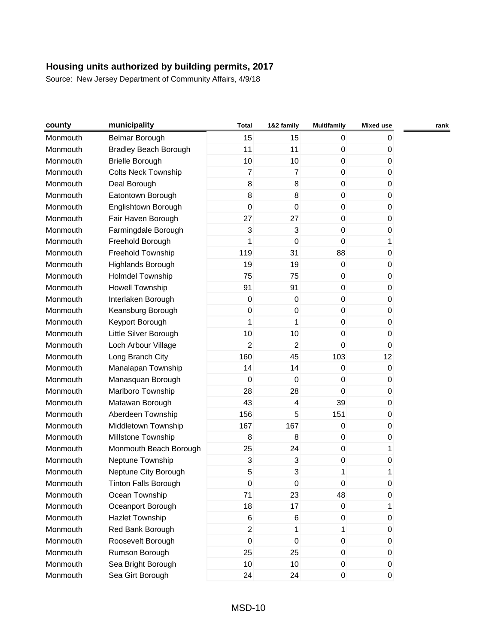| county   | municipality                 | <b>Total</b>     | 1&2 family              | <b>Multifamily</b> | <b>Mixed use</b> | rank |
|----------|------------------------------|------------------|-------------------------|--------------------|------------------|------|
| Monmouth | Belmar Borough               | 15               | 15                      | 0                  | 0                |      |
| Monmouth | <b>Bradley Beach Borough</b> | 11               | 11                      | $\pmb{0}$          | 0                |      |
| Monmouth | <b>Brielle Borough</b>       | 10               | 10                      | $\mathbf 0$        | 0                |      |
| Monmouth | <b>Colts Neck Township</b>   | $\overline{7}$   | $\overline{7}$          | 0                  | 0                |      |
| Monmouth | Deal Borough                 | 8                | 8                       | 0                  | 0                |      |
| Monmouth | Eatontown Borough            | 8                | 8                       | 0                  | 0                |      |
| Monmouth | Englishtown Borough          | $\mathsf 0$      | $\boldsymbol{0}$        | $\boldsymbol{0}$   | 0                |      |
| Monmouth | Fair Haven Borough           | 27               | 27                      | 0                  | 0                |      |
| Monmouth | Farmingdale Borough          | 3                | 3                       | $\boldsymbol{0}$   | 0                |      |
| Monmouth | Freehold Borough             | 1                | $\boldsymbol{0}$        | 0                  | 1                |      |
| Monmouth | Freehold Township            | 119              | 31                      | 88                 | 0                |      |
| Monmouth | Highlands Borough            | 19               | 19                      | $\boldsymbol{0}$   | 0                |      |
| Monmouth | Holmdel Township             | 75               | 75                      | $\boldsymbol{0}$   | 0                |      |
| Monmouth | <b>Howell Township</b>       | 91               | 91                      | $\mathsf 0$        | 0                |      |
| Monmouth | Interlaken Borough           | $\boldsymbol{0}$ | $\mathbf 0$             | 0                  | 0                |      |
| Monmouth | Keansburg Borough            | $\mathsf 0$      | $\boldsymbol{0}$        | 0                  | 0                |      |
| Monmouth | Keyport Borough              | 1                | 1                       | $\mathbf 0$        | 0                |      |
| Monmouth | Little Silver Borough        | 10               | 10                      | $\boldsymbol{0}$   | 0                |      |
| Monmouth | Loch Arbour Village          | $\overline{2}$   | $\overline{2}$          | 0                  | 0                |      |
| Monmouth | Long Branch City             | 160              | 45                      | 103                | 12               |      |
| Monmouth | Manalapan Township           | 14               | 14                      | $\mathbf 0$        | 0                |      |
| Monmouth | Manasquan Borough            | $\mathbf 0$      | $\mathbf 0$             | 0                  | 0                |      |
| Monmouth | Marlboro Township            | 28               | 28                      | 0                  | 0                |      |
| Monmouth | Matawan Borough              | 43               | $\overline{\mathbf{4}}$ | 39                 | 0                |      |
| Monmouth | Aberdeen Township            | 156              | 5                       | 151                | 0                |      |
| Monmouth | Middletown Township          | 167              | 167                     | $\boldsymbol{0}$   | 0                |      |
| Monmouth | Millstone Township           | 8                | 8                       | $\boldsymbol{0}$   | 0                |      |
| Monmouth | Monmouth Beach Borough       | 25               | 24                      | $\mathsf 0$        | 1                |      |
| Monmouth | Neptune Township             | 3                | 3                       | $\boldsymbol{0}$   | 0                |      |
| Monmouth | Neptune City Borough         | 5                | 3                       | 1                  | 1                |      |
| Monmouth | <b>Tinton Falls Borough</b>  | 0                | $\pmb{0}$               | $\pmb{0}$          | 0                |      |
| Monmouth | Ocean Township               | 71               | 23                      | 48                 | 0                |      |
| Monmouth | Oceanport Borough            | 18               | 17                      | $\mathsf 0$        | 1                |      |
| Monmouth | <b>Hazlet Township</b>       | 6                | 6                       | 0                  | 0                |      |
| Monmouth | Red Bank Borough             | $\overline{2}$   | 1                       | 1                  | 0                |      |
| Monmouth | Roosevelt Borough            | $\mathsf 0$      | $\mathbf 0$             | $\pmb{0}$          | 0                |      |
| Monmouth | Rumson Borough               | 25               | 25                      | $\pmb{0}$          | 0                |      |
| Monmouth | Sea Bright Borough           | 10               | 10                      | 0                  | 0                |      |
| Monmouth | Sea Girt Borough             | 24               | 24                      | $\mathsf 0$        | $\pmb{0}$        |      |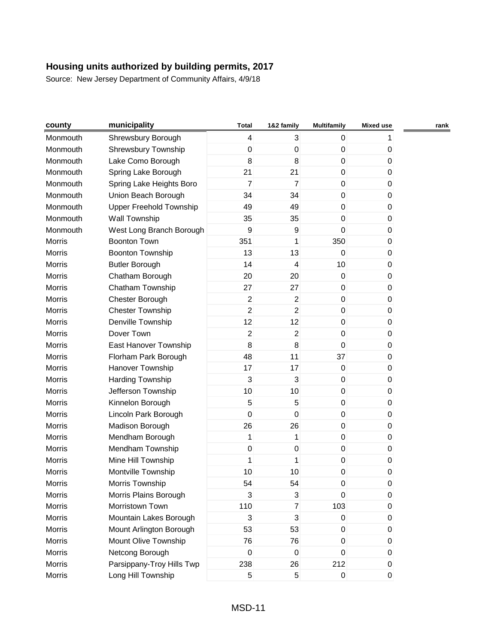| county        | municipality              | <b>Total</b>     | 1&2 family       | <b>Multifamily</b> | <b>Mixed use</b> | rank |
|---------------|---------------------------|------------------|------------------|--------------------|------------------|------|
| Monmouth      | Shrewsbury Borough        | 4                | 3                | 0                  |                  |      |
| Monmouth      | Shrewsbury Township       | $\pmb{0}$        | $\boldsymbol{0}$ | $\pmb{0}$          | 0                |      |
| Monmouth      | Lake Como Borough         | 8                | 8                | $\mathbf 0$        | 0                |      |
| Monmouth      | Spring Lake Borough       | 21               | 21               | $\pmb{0}$          | 0                |      |
| Monmouth      | Spring Lake Heights Boro  | $\overline{7}$   | $\overline{7}$   | 0                  | 0                |      |
| Monmouth      | Union Beach Borough       | 34               | 34               | $\mathbf 0$        | 0                |      |
| Monmouth      | Upper Freehold Township   | 49               | 49               | 0                  | 0                |      |
| Monmouth      | Wall Township             | 35               | 35               | $\pmb{0}$          | 0                |      |
| Monmouth      | West Long Branch Borough  | $\boldsymbol{9}$ | $\boldsymbol{9}$ | $\mathbf 0$        | 0                |      |
| <b>Morris</b> | <b>Boonton Town</b>       | 351              | 1                | 350                | 0                |      |
| <b>Morris</b> | <b>Boonton Township</b>   | 13               | 13               | 0                  | 0                |      |
| <b>Morris</b> | <b>Butler Borough</b>     | 14               | 4                | 10                 | 0                |      |
| Morris        | Chatham Borough           | 20               | 20               | $\pmb{0}$          | 0                |      |
| <b>Morris</b> | Chatham Township          | 27               | 27               | $\pmb{0}$          | 0                |      |
| <b>Morris</b> | Chester Borough           | $\overline{c}$   | $\overline{c}$   | $\pmb{0}$          | 0                |      |
| Morris        | <b>Chester Township</b>   | $\overline{2}$   | $\overline{c}$   | 0                  | 0                |      |
| <b>Morris</b> | Denville Township         | 12               | 12               | $\pmb{0}$          | 0                |      |
| <b>Morris</b> | Dover Town                | $\overline{2}$   | $\overline{c}$   | $\pmb{0}$          | 0                |      |
| <b>Morris</b> | East Hanover Township     | $\bf 8$          | 8                | 0                  | 0                |      |
| <b>Morris</b> | Florham Park Borough      | 48               | 11               | 37                 | 0                |      |
| Morris        | Hanover Township          | 17               | 17               | $\mathbf 0$        | 0                |      |
| <b>Morris</b> | Harding Township          | 3                | 3                | $\pmb{0}$          | 0                |      |
| <b>Morris</b> | Jefferson Township        | 10               | 10               | $\pmb{0}$          | 0                |      |
| <b>Morris</b> | Kinnelon Borough          | 5                | 5                | $\pmb{0}$          | 0                |      |
| <b>Morris</b> | Lincoln Park Borough      | $\mathbf 0$      | 0                | $\mathbf 0$        | 0                |      |
| Morris        | Madison Borough           | 26               | 26               | $\pmb{0}$          | 0                |      |
| Morris        | Mendham Borough           | 1                | 1                | $\pmb{0}$          | 0                |      |
| Morris        | Mendham Township          | $\mathsf 0$      | $\pmb{0}$        | $\pmb{0}$          | 0                |      |
| <b>Morris</b> | Mine Hill Township        | 1                | 1                | $\pmb{0}$          | 0                |      |
| <b>Morris</b> | Montville Township        | 10               | 10               | $\pmb{0}$          | 0                |      |
| Morris        | Morris Township           | 54               | 54               | 0                  | 0                |      |
| Morris        | Morris Plains Borough     | 3                | 3                | $\mathbf 0$        | 0                |      |
| Morris        | Morristown Town           | 110              | $\overline{7}$   | 103                | 0                |      |
| Morris        | Mountain Lakes Borough    | 3                | 3                | $\pmb{0}$          | 0                |      |
| Morris        | Mount Arlington Borough   | 53               | 53               | 0                  | 0                |      |
| Morris        | Mount Olive Township      | 76               | 76               | 0                  | 0                |      |
| Morris        | Netcong Borough           | $\mathbf 0$      | $\pmb{0}$        | 0                  | 0                |      |
| Morris        | Parsippany-Troy Hills Twp | 238              | 26               | 212                | 0                |      |
| Morris        | Long Hill Township        | 5                | 5                | 0                  | 0                |      |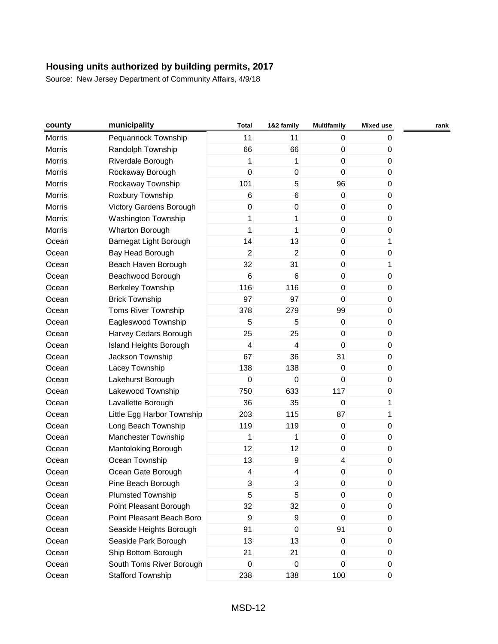| county        | municipality               | <b>Total</b>   | 1&2 family       | <b>Multifamily</b>      | <b>Mixed use</b> | rank |
|---------------|----------------------------|----------------|------------------|-------------------------|------------------|------|
| Morris        | Pequannock Township        | 11             | 11               | 0                       | 0                |      |
| <b>Morris</b> | Randolph Township          | 66             | 66               | $\pmb{0}$               | 0                |      |
| Morris        | Riverdale Borough          | 1              | 1                | $\mathsf 0$             | $\pmb{0}$        |      |
| <b>Morris</b> | Rockaway Borough           | $\mathsf 0$    | $\boldsymbol{0}$ | $\mathsf 0$             | 0                |      |
| Morris        | Rockaway Township          | 101            | 5                | 96                      | 0                |      |
| Morris        | Roxbury Township           | 6              | 6                | $\mathbf 0$             | $\pmb{0}$        |      |
| Morris        | Victory Gardens Borough    | 0              | 0                | 0                       | 0                |      |
| Morris        | Washington Township        | 1              | 1                | 0                       | 0                |      |
| Morris        | Wharton Borough            | 1              | 1                | $\pmb{0}$               | $\pmb{0}$        |      |
| Ocean         | Barnegat Light Borough     | 14             | 13               | 0                       | 1                |      |
| Ocean         | Bay Head Borough           | $\overline{2}$ | $\overline{2}$   | 0                       | 0                |      |
| Ocean         | Beach Haven Borough        | 32             | 31               | $\mathsf 0$             | 1                |      |
| Ocean         | Beachwood Borough          | 6              | 6                | $\pmb{0}$               | $\mathbf{0}$     |      |
| Ocean         | <b>Berkeley Township</b>   | 116            | 116              | $\pmb{0}$               | 0                |      |
| Ocean         | <b>Brick Township</b>      | 97             | 97               | $\mathsf 0$             | $\pmb{0}$        |      |
| Ocean         | Toms River Township        | 378            | 279              | 99                      | 0                |      |
| Ocean         | Eagleswood Township        | 5              | 5                | $\pmb{0}$               | $\pmb{0}$        |      |
| Ocean         | Harvey Cedars Borough      | 25             | 25               | 0                       | 0                |      |
| Ocean         | Island Heights Borough     | 4              | 4                | $\pmb{0}$               | 0                |      |
| Ocean         | Jackson Township           | 67             | 36               | 31                      | $\pmb{0}$        |      |
| Ocean         | Lacey Township             | 138            | 138              | $\pmb{0}$               | 0                |      |
| Ocean         | Lakehurst Borough          | 0              | $\mathbf 0$      | 0                       | 0                |      |
| Ocean         | Lakewood Township          | 750            | 633              | 117                     | 0                |      |
| Ocean         | Lavallette Borough         | 36             | 35               | $\pmb{0}$               | 1                |      |
| Ocean         | Little Egg Harbor Township | 203            | 115              | 87                      | 1                |      |
| Ocean         | Long Beach Township        | 119            | 119              | $\pmb{0}$               | $\pmb{0}$        |      |
| Ocean         | Manchester Township        | 1              | 1                | $\pmb{0}$               | 0                |      |
| Ocean         | Mantoloking Borough        | 12             | 12               | 0                       | $\pmb{0}$        |      |
| Ocean         | Ocean Township             | 13             | 9                | $\overline{\mathbf{4}}$ | 0                |      |
| Ocean         | Ocean Gate Borough         | 4              | 4                | 0                       | 0                |      |
| Ocean         | Pine Beach Borough         | 3              | 3                | $\mathsf 0$             | 0                |      |
| Ocean         | <b>Plumsted Township</b>   | 5              | 5                | 0                       | 0                |      |
| Ocean         | Point Pleasant Borough     | 32             | 32               | 0                       | 0                |      |
| Ocean         | Point Pleasant Beach Boro  | 9              | $\boldsymbol{9}$ | $\mathbf 0$             | 0                |      |
| Ocean         | Seaside Heights Borough    | 91             | 0                | 91                      | 0                |      |
| Ocean         | Seaside Park Borough       | 13             | 13               | 0                       | 0                |      |
| Ocean         | Ship Bottom Borough        | 21             | 21               | $\mathsf 0$             | 0                |      |
| Ocean         | South Toms River Borough   | $\pmb{0}$      | $\mathbf 0$      | 0                       | 0                |      |
| Ocean         | <b>Stafford Township</b>   | 238            | 138              | 100                     | $\pmb{0}$        |      |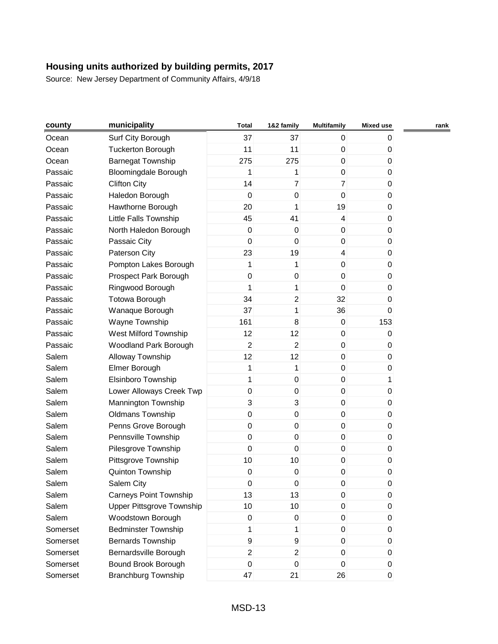| county   | municipality                     | <b>Total</b>        | 1&2 family              | <b>Multifamily</b> | <b>Mixed use</b> | rank |
|----------|----------------------------------|---------------------|-------------------------|--------------------|------------------|------|
| Ocean    | Surf City Borough                | 37                  | 37                      | 0                  | 0                |      |
| Ocean    | <b>Tuckerton Borough</b>         | 11                  | 11                      | 0                  | 0                |      |
| Ocean    | <b>Barnegat Township</b>         | 275                 | 275                     | $\mathbf 0$        | $\mathbf 0$      |      |
| Passaic  | <b>Bloomingdale Borough</b>      | 1                   | 1                       | 0                  | 0                |      |
| Passaic  | <b>Clifton City</b>              | 14                  | $\overline{7}$          | $\overline{7}$     | 0                |      |
| Passaic  | Haledon Borough                  | $\boldsymbol{0}$    | $\pmb{0}$               | $\mathbf 0$        | 0                |      |
| Passaic  | Hawthorne Borough                | 20                  | 1                       | 19                 | 0                |      |
| Passaic  | Little Falls Township            | 45                  | 41                      | 4                  | 0                |      |
| Passaic  | North Haledon Borough            | $\pmb{0}$           | $\pmb{0}$               | $\boldsymbol{0}$   | $\pmb{0}$        |      |
| Passaic  | Passaic City                     | 0                   | $\mathbf 0$             | $\mathbf 0$        | 0                |      |
| Passaic  | Paterson City                    | 23                  | 19                      | 4                  | $\pmb{0}$        |      |
| Passaic  | Pompton Lakes Borough            | 1                   | 1                       | $\pmb{0}$          | 0                |      |
| Passaic  | Prospect Park Borough            | $\pmb{0}$           | $\pmb{0}$               | 0                  | 0                |      |
| Passaic  | Ringwood Borough                 | 1                   | 1                       | $\mathbf 0$        | $\mathbf 0$      |      |
| Passaic  | <b>Totowa Borough</b>            | 34                  | $\overline{c}$          | 32                 | 0                |      |
| Passaic  | Wanaque Borough                  | 37                  | 1                       | 36                 | 0                |      |
| Passaic  | Wayne Township                   | 161                 | 8                       | $\pmb{0}$          | 153              |      |
| Passaic  | West Milford Township            | 12                  | 12                      | 0                  | 0                |      |
| Passaic  | Woodland Park Borough            | $\overline{2}$      | $\overline{2}$          | 0                  | 0                |      |
| Salem    | Alloway Township                 | 12                  | 12                      | $\boldsymbol{0}$   | 0                |      |
| Salem    | Elmer Borough                    | 1                   | 1                       | $\mathbf 0$        | 0                |      |
| Salem    | Elsinboro Township               | 1                   | $\pmb{0}$               | 0                  | 1                |      |
| Salem    | Lower Alloways Creek Twp         | $\mathsf{O}\xspace$ | $\pmb{0}$               | $\pmb{0}$          | 0                |      |
| Salem    | Mannington Township              | 3                   | $\sqrt{3}$              | 0                  | 0                |      |
| Salem    | <b>Oldmans Township</b>          | $\pmb{0}$           | $\mathbf 0$             | $\mathbf 0$        | $\mathbf 0$      |      |
| Salem    | Penns Grove Borough              | 0                   | $\pmb{0}$               | 0                  | 0                |      |
| Salem    | Pennsville Township              | $\pmb{0}$           | $\pmb{0}$               | 0                  | 0                |      |
| Salem    | Pilesgrove Township              | $\pmb{0}$           | $\mathbf 0$             | $\pmb{0}$          | $\boldsymbol{0}$ |      |
| Salem    | Pittsgrove Township              | 10                  | 10                      | 0                  | 0                |      |
| Salem    | Quinton Township                 | $\pmb{0}$           | $\boldsymbol{0}$        | 0                  | 0                |      |
| Salem    | Salem City                       | 0                   | $\boldsymbol{0}$        | 0                  | 0                |      |
| Salem    | <b>Carneys Point Township</b>    | 13                  | 13                      | 0                  | 0                |      |
| Salem    | <b>Upper Pittsgrove Township</b> | 10                  | 10                      | 0                  | $\pmb{0}$        |      |
| Salem    | Woodstown Borough                | 0                   | 0                       | $\pmb{0}$          | 0                |      |
| Somerset | <b>Bedminster Township</b>       | 1                   | 1                       | $\mathbf{0}$       | 0                |      |
| Somerset | <b>Bernards Township</b>         | 9                   | 9                       | 0                  | 0                |      |
| Somerset | Bernardsville Borough            | $\overline{a}$      | $\overline{\mathbf{c}}$ | 0                  | 0                |      |
| Somerset | Bound Brook Borough              | $\pmb{0}$           | $\pmb{0}$               | 0                  | 0                |      |
| Somerset | <b>Branchburg Township</b>       | 47                  | 21                      | 26                 | $\pmb{0}$        |      |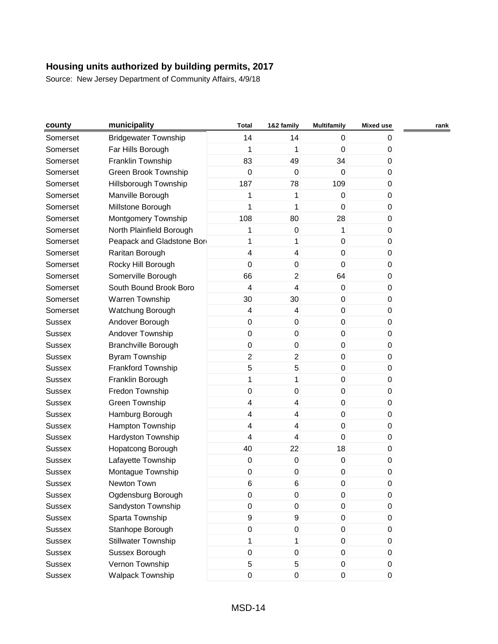| county        | municipality                | <b>Total</b>            | 1&2 family       | <b>Multifamily</b> | <b>Mixed use</b> | rank |
|---------------|-----------------------------|-------------------------|------------------|--------------------|------------------|------|
| Somerset      | <b>Bridgewater Township</b> | 14                      | 14               | 0                  | 0                |      |
| Somerset      | Far Hills Borough           | 1                       | 1                | 0                  | 0                |      |
| Somerset      | Franklin Township           | 83                      | 49               | 34                 | 0                |      |
| Somerset      | Green Brook Township        | $\mathbf 0$             | $\mathbf 0$      | 0                  | 0                |      |
| Somerset      | Hillsborough Township       | 187                     | 78               | 109                | 0                |      |
| Somerset      | Manville Borough            | 1                       | 1                | 0                  | 0                |      |
| Somerset      | Millstone Borough           | 1                       | 1                | 0                  | 0                |      |
| Somerset      | Montgomery Township         | 108                     | 80               | 28                 | 0                |      |
| Somerset      | North Plainfield Borough    | 1                       | $\boldsymbol{0}$ | 1                  | 0                |      |
| Somerset      | Peapack and Gladstone Bor   | 1                       | 1                | $\mathbf 0$        | 0                |      |
| Somerset      | Raritan Borough             | 4                       | 4                | $\mathbf 0$        | $\mathbf 0$      |      |
| Somerset      | Rocky Hill Borough          | 0                       | 0                | 0                  | 0                |      |
| Somerset      | Somerville Borough          | 66                      | $\overline{c}$   | 64                 | 0                |      |
| Somerset      | South Bound Brook Boro      | $\overline{\mathbf{4}}$ | 4                | $\pmb{0}$          | 0                |      |
| Somerset      | Warren Township             | 30                      | 30               | 0                  | 0                |      |
| Somerset      | Watchung Borough            | 4                       | 4                | 0                  | 0                |      |
| <b>Sussex</b> | Andover Borough             | $\pmb{0}$               | $\boldsymbol{0}$ | $\pmb{0}$          | 0                |      |
| <b>Sussex</b> | Andover Township            | 0                       | $\boldsymbol{0}$ | 0                  | 0                |      |
| <b>Sussex</b> | <b>Branchville Borough</b>  | $\pmb{0}$               | $\pmb{0}$        | 0                  | 0                |      |
| <b>Sussex</b> | Byram Township              | $\overline{2}$          | $\overline{c}$   | $\mathbf 0$        | 0                |      |
| <b>Sussex</b> | Frankford Township          | 5                       | $\sqrt{5}$       | 0                  | 0                |      |
| <b>Sussex</b> | Franklin Borough            | 1                       | 1                | 0                  | $\boldsymbol{0}$ |      |
| <b>Sussex</b> | Fredon Township             | $\pmb{0}$               | $\pmb{0}$        | 0                  | 0                |      |
| <b>Sussex</b> | Green Township              | $\overline{\mathbf{4}}$ | 4                | 0                  | 0                |      |
| <b>Sussex</b> | Hamburg Borough             | 4                       | 4                | $\mathbf 0$        | $\mathbf 0$      |      |
| <b>Sussex</b> | Hampton Township            | 4                       | 4                | 0                  | 0                |      |
| <b>Sussex</b> | Hardyston Township          | 4                       | 4                | 0                  | 0                |      |
| <b>Sussex</b> | Hopatcong Borough           | 40                      | 22               | 18                 | 0                |      |
| <b>Sussex</b> | Lafayette Township          | $\pmb{0}$               | $\boldsymbol{0}$ | 0                  | 0                |      |
| <b>Sussex</b> | Montague Township           | 0                       | 0                | 0                  | 0                |      |
| Sussex        | Newton Town                 | 6                       | $\,6$            | 0                  | 0                |      |
| Sussex        | Ogdensburg Borough          | 0                       | $\boldsymbol{0}$ | 0                  | 0                |      |
| <b>Sussex</b> | Sandyston Township          | $\mathsf{O}\xspace$     | $\pmb{0}$        | $\pmb{0}$          | $\pmb{0}$        |      |
| <b>Sussex</b> | Sparta Township             | 9                       | 9                | 0                  | 0                |      |
| <b>Sussex</b> | Stanhope Borough            | 0                       | 0                | 0                  | 0                |      |
| <b>Sussex</b> | <b>Stillwater Township</b>  | 1                       | 1                | 0                  | $\boldsymbol{0}$ |      |
| <b>Sussex</b> | Sussex Borough              | $\mathsf{O}\xspace$     | 0                | 0                  | 0                |      |
| <b>Sussex</b> | Vernon Township             | 5                       | 5                | 0                  | 0                |      |
| <b>Sussex</b> | Walpack Township            | $\mathsf{O}\xspace$     | $\pmb{0}$        | $\pmb{0}$          | $\pmb{0}$        |      |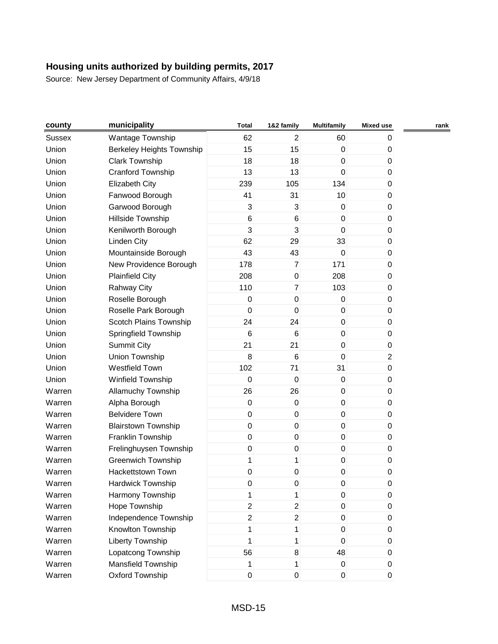| county | municipality               | <b>Total</b>   | 1&2 family       | <b>Multifamily</b> | <b>Mixed use</b> | rank |
|--------|----------------------------|----------------|------------------|--------------------|------------------|------|
| Sussex | Wantage Township           | 62             | $\overline{2}$   | 60                 | 0                |      |
| Union  | Berkeley Heights Township  | 15             | 15               | $\mathsf 0$        | 0                |      |
| Union  | <b>Clark Township</b>      | 18             | 18               | $\mathsf 0$        | $\boldsymbol{0}$ |      |
| Union  | Cranford Township          | 13             | 13               | $\mathbf 0$        | 0                |      |
| Union  | Elizabeth City             | 239            | 105              | 134                | $\pmb{0}$        |      |
| Union  | Fanwood Borough            | 41             | 31               | 10                 | $\boldsymbol{0}$ |      |
| Union  | Garwood Borough            | 3              | 3                | $\pmb{0}$          | 0                |      |
| Union  | Hillside Township          | 6              | $6\phantom{1}6$  | $\pmb{0}$          | $\pmb{0}$        |      |
| Union  | Kenilworth Borough         | 3              | 3                | $\mathsf 0$        | $\pmb{0}$        |      |
| Union  | Linden City                | 62             | 29               | 33                 | 0                |      |
| Union  | Mountainside Borough       | 43             | 43               | $\mathbf 0$        | 0                |      |
| Union  | New Providence Borough     | 178            | $\overline{7}$   | 171                | 0                |      |
| Union  | <b>Plainfield City</b>     | 208            | $\pmb{0}$        | 208                | 0                |      |
| Union  | <b>Rahway City</b>         | 110            | $\overline{7}$   | 103                | $\boldsymbol{0}$ |      |
| Union  | Roselle Borough            | 0              | $\mathbf 0$      | 0                  | 0                |      |
| Union  | Roselle Park Borough       | $\mathbf 0$    | $\mathbf 0$      | 0                  | $\pmb{0}$        |      |
| Union  | Scotch Plains Township     | 24             | 24               | $\mathsf 0$        | $\boldsymbol{0}$ |      |
| Union  | Springfield Township       | 6              | 6                | $\mathsf 0$        | 0                |      |
| Union  | <b>Summit City</b>         | 21             | 21               | $\mathsf 0$        | $\pmb{0}$        |      |
| Union  | Union Township             | 8              | $6\phantom{1}6$  | $\mathsf 0$        | $\overline{c}$   |      |
| Union  | <b>Westfield Town</b>      | 102            | 71               | 31                 | $\boldsymbol{0}$ |      |
| Union  | Winfield Township          | $\mathsf 0$    | $\mathbf 0$      | $\mathsf 0$        | $\boldsymbol{0}$ |      |
| Warren | Allamuchy Township         | 26             | 26               | $\mathsf 0$        | 0                |      |
| Warren | Alpha Borough              | $\pmb{0}$      | $\pmb{0}$        | 0                  | 0                |      |
| Warren | <b>Belvidere Town</b>      | $\mathsf 0$    | $\boldsymbol{0}$ | $\mathsf 0$        | $\boldsymbol{0}$ |      |
| Warren | <b>Blairstown Township</b> | 0              | $\pmb{0}$        | $\mathsf 0$        | 0                |      |
| Warren | Franklin Township          | $\mathsf 0$    | $\mathbf 0$      | 0                  | $\pmb{0}$        |      |
| Warren | Frelinghuysen Township     | $\pmb{0}$      | $\pmb{0}$        | $\mathsf 0$        | $\boldsymbol{0}$ |      |
| Warren | <b>Greenwich Township</b>  | 1              | 1                | $\mathsf 0$        | 0                |      |
| Warren | <b>Hackettstown Town</b>   | $\pmb{0}$      | $\boldsymbol{0}$ | 0                  | 0                |      |
| Warren | Hardwick Township          | $\pmb{0}$      | $\pmb{0}$        | $\pmb{0}$          | 0                |      |
| Warren | Harmony Township           | 1              | 1                | 0                  | 0                |      |
| Warren | Hope Township              | $\overline{c}$ | $\boldsymbol{2}$ | 0                  | 0                |      |
| Warren | Independence Township      | $\overline{2}$ | $\overline{c}$   | 0                  | 0                |      |
| Warren | Knowlton Township          | 1              | 1                | 0                  | 0                |      |
| Warren | <b>Liberty Township</b>    | 1              | 1                | $\mathbf 0$        | 0                |      |
| Warren | Lopatcong Township         | 56             | 8                | 48                 | 0                |      |
| Warren | Mansfield Township         | 1              | 1                | 0                  | 0                |      |
| Warren | Oxford Township            | $\mathsf 0$    | $\pmb{0}$        | $\mathsf 0$        | 0                |      |